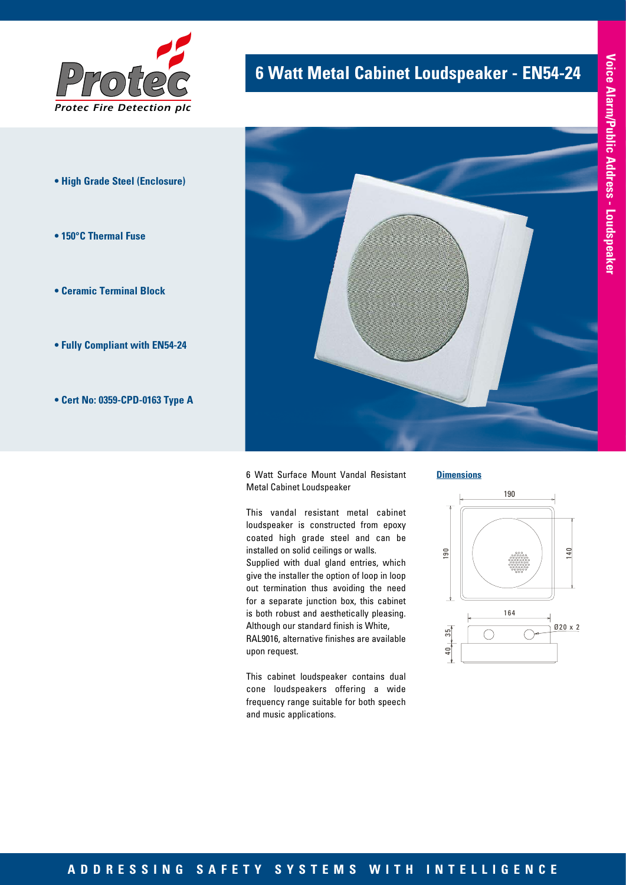

- **High Grade Steel (Enclosure)**
- **150°C Thermal Fuse**
- **Ceramic Terminal Block**
- **Fully Compliant with EN54-24**
- **Cert No: 0359-CPD-0163 Type A**

# **6 Watt Metal Cabinet Loudspeaker - EN54-24**



6 Watt Surface Mount Vandal Resistant Metal Cabinet Loudspeaker

This vandal resistant metal cabinet loudspeaker is constructed from epoxy coated high grade steel and can be installed on solid ceilings or walls. Supplied with dual gland entries, which give the installer the option of loop in loop out termination thus avoiding the need for a separate junction box, this cabinet is both robust and aesthetically pleasing. Although our standard finish is White, RAL9016, alternative finishes are available upon request.

This cabinet loudspeaker contains dual cone loudspeakers offering a wide frequency range suitable for both speech and music applications.

**Dimensions**